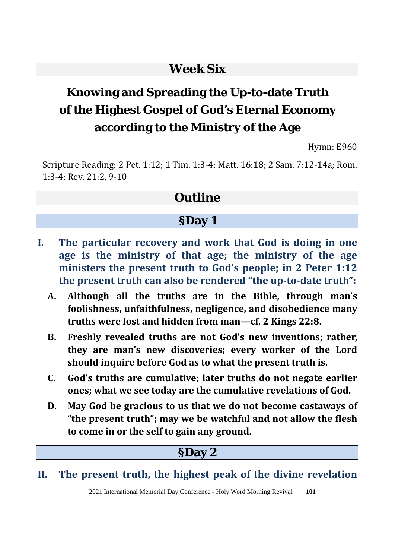# **Week Six**

# **Knowing and Spreading the Up-to-date Truth of the Highest Gospel of God's Eternal Economy according to the Ministry of the Age**

Hymn: E960

Scripture Reading: 2 Pet. 1:12; 1 Tim. 1:3-4; Matt. 16:18; 2 Sam. 7:12-14a; Rom. 1:3-4; Rev. 21:2, 9-10

# **Outline**

#### **§Day 1**

- **I. The particular recovery and work that God is doing in one age is the ministry of that age; the ministry of the age ministers the present truth to God's people; in 2 Peter 1:12 the present truth can also be rendered "the up-to-date truth":**
	- **A. Although all the truths are in the Bible, through man's foolishness, unfaithfulness, negligence, and disobedience many truths were lost and hidden from man—cf. 2 Kings 22:8.**
	- **B. Freshly revealed truths are not God's new inventions; rather, they are man's new discoveries; every worker of the Lord should inquire before God as to what the present truth is.**
	- **C. God's truths are cumulative; later truths do not negate earlier ones; what we see today are the cumulative revelations of God.**
	- **D. May God be gracious to us that we do not become castaways of "the present truth"; may we be watchful and not allow the flesh to come in or the self to gain any ground.**

## **§Day 2**

#### **II. The present truth, the highest peak of the divine revelation**

2021 International Memorial Day Conference - Holy Word Morning Revival **101**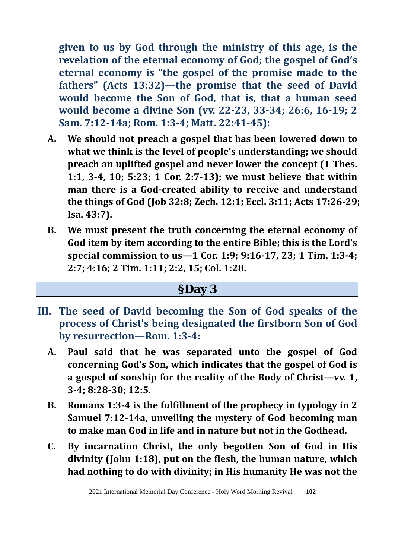**given to us by God through the ministry of this age, is the revelation of the eternal economy of God; the gospel of God's eternal economy is "the gospel of the promise made to the fathers" (Acts 13:32)—the promise that the seed of David would become the Son of God, that is, that a human seed would become a divine Son (vv. 22-23, 33-34; 26:6, 16-19; 2 Sam. 7:12-14a; Rom. 1:3-4; Matt. 22:41-45):** 

- **A. We should not preach a gospel that has been lowered down to what we think is the level of people's understanding; we should preach an uplifted gospel and never lower the concept (1 Thes. 1:1, 3-4, 10; 5:23; 1 Cor. 2:7-13); we must believe that within man there is a God-created ability to receive and understand the things of God (Job 32:8; Zech. 12:1; Eccl. 3:11; Acts 17:26-29; Isa. 43:7).**
- **B. We must present the truth concerning the eternal economy of God item by item according to the entire Bible; this is the Lord's special commission to us—1 Cor. 1:9; 9:16-17, 23; 1 Tim. 1:3-4; 2:7; 4:16; 2 Tim. 1:11; 2:2, 15; Col. 1:28.**

- **III. The seed of David becoming the Son of God speaks of the process of Christ's being designated the firstborn Son of God by resurrection—Rom. 1:3-4:** 
	- **A. Paul said that he was separated unto the gospel of God concerning God's Son, which indicates that the gospel of God is a gospel of sonship for the reality of the Body of Christ—vv. 1, 3-4; 8:28-30; 12:5.**
	- **B. Romans 1:3-4 is the fulfillment of the prophecy in typology in 2 Samuel 7:12-14a, unveiling the mystery of God becoming man to make man God in life and in nature but not in the Godhead.**
	- **C. By incarnation Christ, the only begotten Son of God in His divinity (John 1:18), put on the flesh, the human nature, which had nothing to do with divinity; in His humanity He was not the**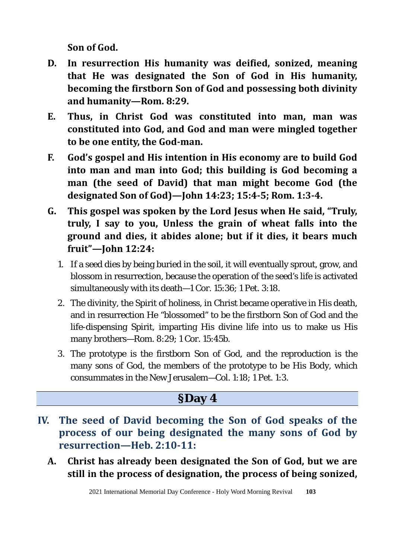**Son of God.**

- **D. In resurrection His humanity was deified, sonized, meaning that He was designated the Son of God in His humanity, becoming the firstborn Son of God and possessing both divinity and humanity—Rom. 8:29.**
- **E. Thus, in Christ God was constituted into man, man was constituted into God, and God and man were mingled together to be one entity, the God-man.**
- **F. God's gospel and His intention in His economy are to build God into man and man into God; this building is God becoming a man (the seed of David) that man might become God (the designated Son of God)—John 14:23; 15:4-5; Rom. 1:3-4.**
- **G. This gospel was spoken by the Lord Jesus when He said, "Truly, truly, I say to you, Unless the grain of wheat falls into the ground and dies, it abides alone; but if it dies, it bears much fruit"—John 12:24:** 
	- 1. If a seed dies by being buried in the soil, it will eventually sprout, grow, and blossom in resurrection, because the operation of the seed's life is activated simultaneously with its death—1 Cor. 15:36; 1 Pet. 3:18.
	- 2. The divinity, the Spirit of holiness, in Christ became operative in His death, and in resurrection He "blossomed" to be the firstborn Son of God and the life-dispensing Spirit, imparting His divine life into us to make us His many brothers—Rom. 8:29; 1 Cor. 15:45b.
	- 3. The prototype is the firstborn Son of God, and the reproduction is the many sons of God, the members of the prototype to be His Body, which consummates in the New Jerusalem—Col. 1:18; 1 Pet. 1:3.

- **IV. The seed of David becoming the Son of God speaks of the process of our being designated the many sons of God by resurrection—Heb. 2:10-11:** 
	- **A. Christ has already been designated the Son of God, but we are still in the process of designation, the process of being sonized,**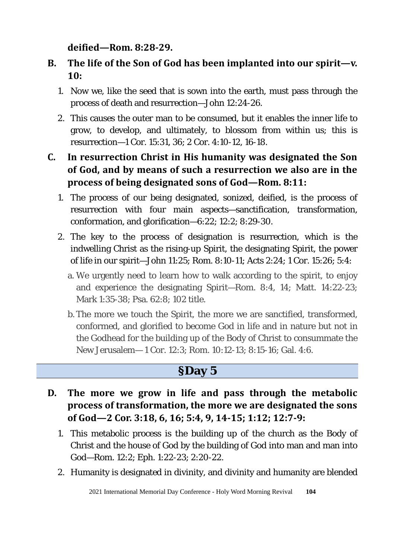**deified—Rom. 8:28-29.** 

#### **B. The life of the Son of God has been implanted into our spirit—v. 10:**

- 1. Now we, like the seed that is sown into the earth, must pass through the process of death and resurrection—John 12:24-26.
- 2. This causes the outer man to be consumed, but it enables the inner life to grow, to develop, and ultimately, to blossom from within us; this is resurrection—1 Cor. 15:31, 36; 2 Cor. 4:10-12, 16-18.

## **C. In resurrection Christ in His humanity was designated the Son of God, and by means of such a resurrection we also are in the process of being designated sons of God—Rom. 8:11:**

- 1. The process of our being designated, sonized, deified, is the process of resurrection with four main aspects—sanctification, transformation, conformation, and glorification—6:22; 12:2; 8:29-30.
- 2. The key to the process of designation is resurrection, which is the indwelling Christ as the rising-up Spirit, the designating Spirit, the power of life in our spirit—John 11:25; Rom. 8:10-11; Acts 2:24; 1 Cor. 15:26; 5:4:
	- a. We urgently need to learn how to walk according to the spirit, to enjoy and experience the designating Spirit—Rom. 8:4, 14; Matt. 14:22-23; Mark 1:35-38; Psa. 62:8; 102 title.
	- b. The more we touch the Spirit, the more we are sanctified, transformed, conformed, and glorified to become God in life and in nature but not in the Godhead for the building up of the Body of Christ to consummate the New Jerusalem— 1 Cor. 12:3; Rom. 10:12-13; 8:15-16; Gal. 4:6.

- **D. The more we grow in life and pass through the metabolic process of transformation, the more we are designated the sons of God—2 Cor. 3:18, 6, 16; 5:4, 9, 14-15; 1:12; 12:7-9:** 
	- 1. This metabolic process is the building up of the church as the Body of Christ and the house of God by the building of God into man and man into God—Rom. 12:2; Eph. 1:22-23; 2:20-22.
	- 2. Humanity is designated in divinity, and divinity and humanity are blended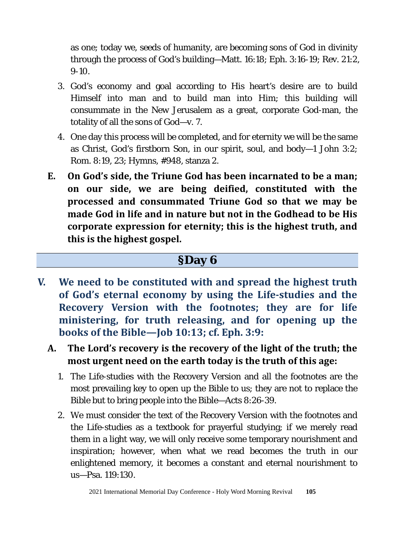as one; today we, seeds of humanity, are becoming sons of God in divinity through the process of God's building—Matt. 16:18; Eph. 3:16-19; Rev. 21:2, 9-10.

- 3. God's economy and goal according to His heart's desire are to build Himself into man and to build man into Him; this building will consummate in the New Jerusalem as a great, corporate God-man, the totality of all the sons of God—v. 7.
- 4. One day this process will be completed, and for eternity we will be the same as Christ, God's firstborn Son, in our spirit, soul, and body—1 John 3:2; Rom. 8:19, 23; Hymns, #948, stanza 2.
- **E. On God's side, the Triune God has been incarnated to be a man; on our side, we are being deified, constituted with the processed and consummated Triune God so that we may be made God in life and in nature but not in the Godhead to be His corporate expression for eternity; this is the highest truth, and this is the highest gospel.**

- **V. We need to be constituted with and spread the highest truth of God's eternal economy by using the Life-studies and the Recovery Version with the footnotes; they are for life ministering, for truth releasing, and for opening up the books of the Bible—Job 10:13; cf. Eph. 3:9:**
	- **A. The Lord's recovery is the recovery of the light of the truth; the most urgent need on the earth today is the truth of this age:**
		- 1. The Life-studies with the Recovery Version and all the footnotes are the most prevailing key to open up the Bible to us; they are not to replace the Bible but to bring people into the Bible—Acts 8:26-39.
		- 2. We must consider the text of the Recovery Version with the footnotes and the Life-studies as a textbook for prayerful studying; if we merely read them in a light way, we will only receive some temporary nourishment and inspiration; however, when what we read becomes the truth in our enlightened memory, it becomes a constant and eternal nourishment to us—Psa. 119:130.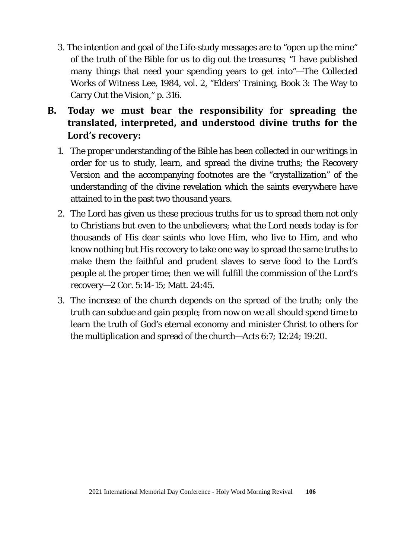- 3. The intention and goal of the Life-study messages are to "open up the mine" of the truth of the Bible for us to dig out the treasures; "I have published many things that need your spending years to get into"—The Collected Works of Witness Lee, 1984, vol. 2, "Elders' Training, Book 3: The Way to Carry Out the Vision," p. 316.
- **B. Today we must bear the responsibility for spreading the translated, interpreted, and understood divine truths for the Lord's recovery:**
	- 1. The proper understanding of the Bible has been collected in our writings in order for us to study, learn, and spread the divine truths; the Recovery Version and the accompanying footnotes are the "crystallization" of the understanding of the divine revelation which the saints everywhere have attained to in the past two thousand years.
	- 2. The Lord has given us these precious truths for us to spread them not only to Christians but even to the unbelievers; what the Lord needs today is for thousands of His dear saints who love Him, who live to Him, and who know nothing but His recovery to take one way to spread the same truths to make them the faithful and prudent slaves to serve food to the Lord's people at the proper time; then we will fulfill the commission of the Lord's recovery—2 Cor. 5:14-15; Matt. 24:45.
	- 3. The increase of the church depends on the spread of the truth; only the truth can subdue and gain people; from now on we all should spend time to learn the truth of God's eternal economy and minister Christ to others for the multiplication and spread of the church—Acts 6:7; 12:24; 19:20.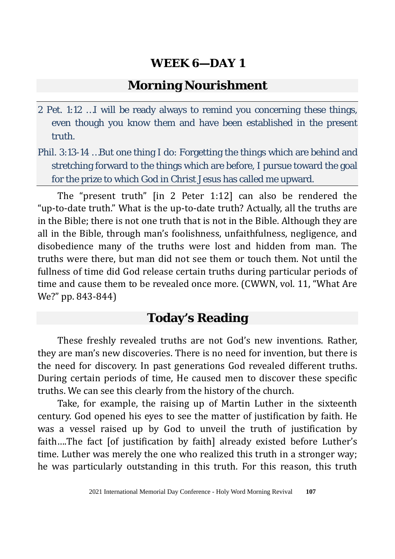#### **Morning Nourishment**

- 2 Pet. 1:12 …I will be ready always to remind you concerning these things, even though you know them and have been established in the present truth.
- Phil. 3:13-14 …But one thing I do: Forgetting the things which are behind and stretching forward to the things which are before, I pursue toward the goal for the prize to which God in Christ Jesus has called me upward.

The "present truth" [in 2 Peter 1:12] can also be rendered the "up-to-date truth." What is the up-to-date truth? Actually, all the truths are in the Bible; there is not one truth that is not in the Bible. Although they are all in the Bible, through man's foolishness, unfaithfulness, negligence, and disobedience many of the truths were lost and hidden from man. The truths were there, but man did not see them or touch them. Not until the fullness of time did God release certain truths during particular periods of time and cause them to be revealed once more. (CWWN, vol. 11, "What Are We?" pp. 843-844)

# **Today's Reading**

These freshly revealed truths are not God's new inventions. Rather, they are man's new discoveries. There is no need for invention, but there is the need for discovery. In past generations God revealed different truths. During certain periods of time, He caused men to discover these specific truths. We can see this clearly from the history of the church.

Take, for example, the raising up of Martin Luther in the sixteenth century. God opened his eyes to see the matter of justification by faith. He was a vessel raised up by God to unveil the truth of justification by faith….The fact [of justification by faith] already existed before Luther's time. Luther was merely the one who realized this truth in a stronger way; he was particularly outstanding in this truth. For this reason, this truth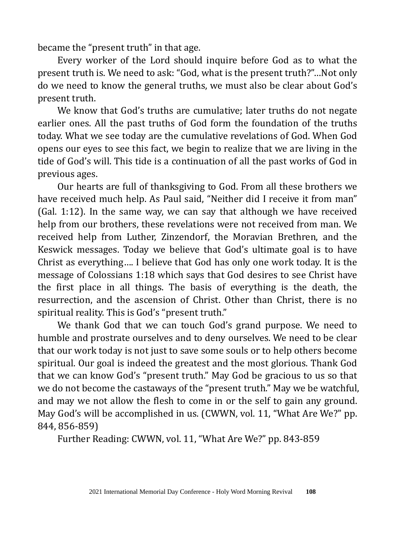became the "present truth" in that age.

Every worker of the Lord should inquire before God as to what the present truth is. We need to ask: "God, what is the present truth?"…Not only do we need to know the general truths, we must also be clear about God's present truth.

We know that God's truths are cumulative; later truths do not negate earlier ones. All the past truths of God form the foundation of the truths today. What we see today are the cumulative revelations of God. When God opens our eyes to see this fact, we begin to realize that we are living in the tide of God's will. This tide is a continuation of all the past works of God in previous ages.

Our hearts are full of thanksgiving to God. From all these brothers we have received much help. As Paul said, "Neither did I receive it from man" (Gal. 1:12). In the same way, we can say that although we have received help from our brothers, these revelations were not received from man. We received help from Luther, Zinzendorf, the Moravian Brethren, and the Keswick messages. Today we believe that God's ultimate goal is to have Christ as everything…. I believe that God has only one work today. It is the message of Colossians 1:18 which says that God desires to see Christ have the first place in all things. The basis of everything is the death, the resurrection, and the ascension of Christ. Other than Christ, there is no spiritual reality. This is God's "present truth."

We thank God that we can touch God's grand purpose. We need to humble and prostrate ourselves and to deny ourselves. We need to be clear that our work today is not just to save some souls or to help others become spiritual. Our goal is indeed the greatest and the most glorious. Thank God that we can know God's "present truth." May God be gracious to us so that we do not become the castaways of the "present truth." May we be watchful, and may we not allow the flesh to come in or the self to gain any ground. May God's will be accomplished in us. (CWWN, vol. 11, "What Are We?" pp. 844, 856-859)

Further Reading: CWWN, vol. 11, "What Are We?" pp. 843-859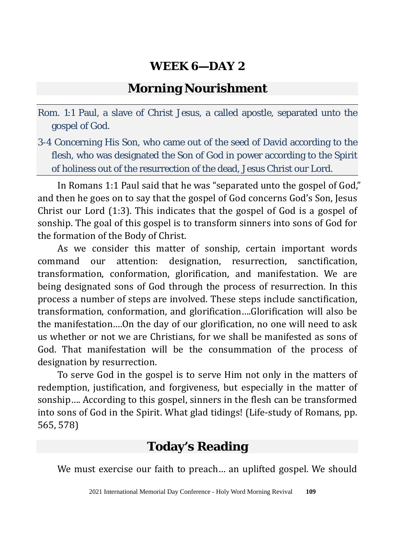# **Morning Nourishment**

- Rom. 1:1 Paul, a slave of Christ Jesus, a called apostle, separated unto the gospel of God.
- 3-4 Concerning His Son, who came out of the seed of David according to the flesh, who was designated the Son of God in power according to the Spirit of holiness out of the resurrection of the dead, Jesus Christ our Lord.

In Romans 1:1 Paul said that he was "separated unto the gospel of God," and then he goes on to say that the gospel of God concerns God's Son, Jesus Christ our Lord (1:3). This indicates that the gospel of God is a gospel of sonship. The goal of this gospel is to transform sinners into sons of God for the formation of the Body of Christ.

As we consider this matter of sonship, certain important words command our attention: designation, resurrection, sanctification, transformation, conformation, glorification, and manifestation. We are being designated sons of God through the process of resurrection. In this process a number of steps are involved. These steps include sanctification, transformation, conformation, and glorification….Glorification will also be the manifestation….On the day of our glorification, no one will need to ask us whether or not we are Christians, for we shall be manifested as sons of God. That manifestation will be the consummation of the process of designation by resurrection.

To serve God in the gospel is to serve Him not only in the matters of redemption, justification, and forgiveness, but especially in the matter of sonship…. According to this gospel, sinners in the flesh can be transformed into sons of God in the Spirit. What glad tidings! (Life-study of Romans, pp. 565, 578)

# **Today's Reading**

We must exercise our faith to preach… an uplifted gospel. We should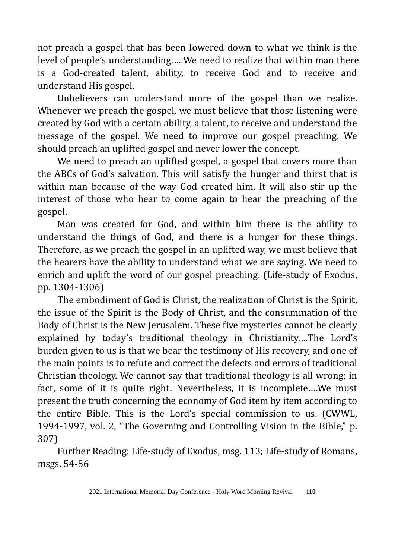not preach a gospel that has been lowered down to what we think is the level of people's understanding…. We need to realize that within man there is a God-created talent, ability, to receive God and to receive and understand His gospel.

Unbelievers can understand more of the gospel than we realize. Whenever we preach the gospel, we must believe that those listening were created by God with a certain ability, a talent, to receive and understand the message of the gospel. We need to improve our gospel preaching. We should preach an uplifted gospel and never lower the concept.

We need to preach an uplifted gospel, a gospel that covers more than the ABCs of God's salvation. This will satisfy the hunger and thirst that is within man because of the way God created him. It will also stir up the interest of those who hear to come again to hear the preaching of the gospel.

Man was created for God, and within him there is the ability to understand the things of God, and there is a hunger for these things. Therefore, as we preach the gospel in an uplifted way, we must believe that the hearers have the ability to understand what we are saying. We need to enrich and uplift the word of our gospel preaching. (Life-study of Exodus, pp. 1304-1306)

The embodiment of God is Christ, the realization of Christ is the Spirit, the issue of the Spirit is the Body of Christ, and the consummation of the Body of Christ is the New Jerusalem. These five mysteries cannot be clearly explained by today's traditional theology in Christianity….The Lord's burden given to us is that we bear the testimony of His recovery, and one of the main points is to refute and correct the defects and errors of traditional Christian theology. We cannot say that traditional theology is all wrong; in fact, some of it is quite right. Nevertheless, it is incomplete….We must present the truth concerning the economy of God item by item according to the entire Bible. This is the Lord's special commission to us. (CWWL, 1994-1997, vol. 2, "The Governing and Controlling Vision in the Bible," p. 307)

Further Reading: Life-study of Exodus, msg. 113; Life-study of Romans, msgs. 54-56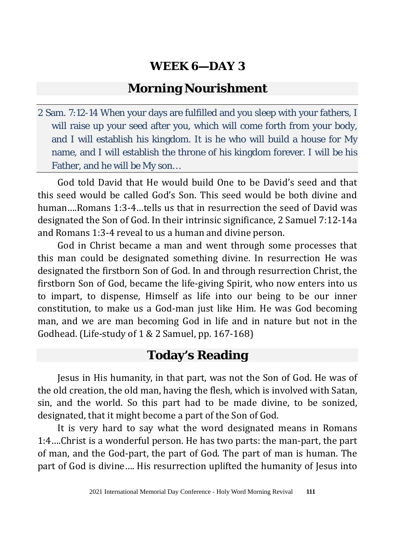# **Morning Nourishment**

2 Sam. 7:12-14 When your days are fulfilled and you sleep with your fathers, I will raise up your seed after you, which will come forth from your body, and I will establish his kingdom. It is he who will build a house for My name, and I will establish the throne of his kingdom forever. I will be his Father, and he will be My son…

God told David that He would build One to be David's seed and that this seed would be called God's Son. This seed would be both divine and human….Romans 1:3-4…tells us that in resurrection the seed of David was designated the Son of God. In their intrinsic significance, 2 Samuel 7:12-14a and Romans 1:3-4 reveal to us a human and divine person.

God in Christ became a man and went through some processes that this man could be designated something divine. In resurrection He was designated the firstborn Son of God. In and through resurrection Christ, the firstborn Son of God, became the life-giving Spirit, who now enters into us to impart, to dispense, Himself as life into our being to be our inner constitution, to make us a God-man just like Him. He was God becoming man, and we are man becoming God in life and in nature but not in the Godhead. (Life-study of 1 & 2 Samuel, pp. 167-168)

# **Today's Reading**

Jesus in His humanity, in that part, was not the Son of God. He was of the old creation, the old man, having the flesh, which is involved with Satan, sin, and the world. So this part had to be made divine, to be sonized, designated, that it might become a part of the Son of God.

It is very hard to say what the word designated means in Romans 1:4….Christ is a wonderful person. He has two parts: the man-part, the part of man, and the God-part, the part of God. The part of man is human. The part of God is divine…. His resurrection uplifted the humanity of Jesus into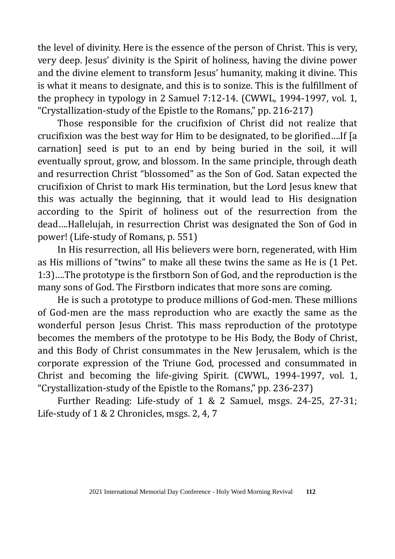the level of divinity. Here is the essence of the person of Christ. This is very, very deep. Jesus' divinity is the Spirit of holiness, having the divine power and the divine element to transform Jesus' humanity, making it divine. This is what it means to designate, and this is to sonize. This is the fulfillment of the prophecy in typology in 2 Samuel 7:12-14. (CWWL, 1994-1997, vol. 1, "Crystallization-study of the Epistle to the Romans," pp. 216-217)

Those responsible for the crucifixion of Christ did not realize that crucifixion was the best way for Him to be designated, to be glorified….If [a carnation] seed is put to an end by being buried in the soil, it will eventually sprout, grow, and blossom. In the same principle, through death and resurrection Christ "blossomed" as the Son of God. Satan expected the crucifixion of Christ to mark His termination, but the Lord Jesus knew that this was actually the beginning, that it would lead to His designation according to the Spirit of holiness out of the resurrection from the dead….Hallelujah, in resurrection Christ was designated the Son of God in power! (Life-study of Romans, p. 551)

In His resurrection, all His believers were born, regenerated, with Him as His millions of "twins" to make all these twins the same as He is (1 Pet. 1:3)….The prototype is the firstborn Son of God, and the reproduction is the many sons of God. The Firstborn indicates that more sons are coming.

He is such a prototype to produce millions of God-men. These millions of God-men are the mass reproduction who are exactly the same as the wonderful person Jesus Christ. This mass reproduction of the prototype becomes the members of the prototype to be His Body, the Body of Christ, and this Body of Christ consummates in the New Jerusalem, which is the corporate expression of the Triune God, processed and consummated in Christ and becoming the life-giving Spirit. (CWWL, 1994-1997, vol. 1, "Crystallization-study of the Epistle to the Romans," pp. 236-237)

Further Reading: Life-study of 1 & 2 Samuel, msgs. 24-25, 27-31; Life-study of 1 & 2 Chronicles, msgs. 2, 4, 7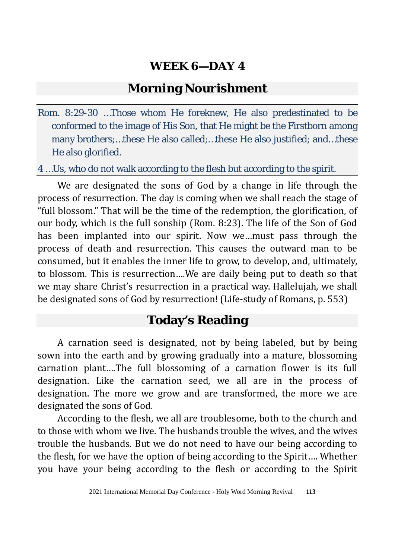# **Morning Nourishment**

Rom. 8:29-30 …Those whom He foreknew, He also predestinated to be conformed to the image of His Son, that He might be the Firstborn among many brothers;…these He also called;…these He also justified; and…these He also glorified.

4 …Us, who do not walk according to the flesh but according to the spirit.

We are designated the sons of God by a change in life through the process of resurrection. The day is coming when we shall reach the stage of "full blossom." That will be the time of the redemption, the glorification, of our body, which is the full sonship (Rom. 8:23). The life of the Son of God has been implanted into our spirit. Now we…must pass through the process of death and resurrection. This causes the outward man to be consumed, but it enables the inner life to grow, to develop, and, ultimately, to blossom. This is resurrection….We are daily being put to death so that we may share Christ's resurrection in a practical way. Hallelujah, we shall be designated sons of God by resurrection! (Life-study of Romans, p. 553)

# **Today's Reading**

A carnation seed is designated, not by being labeled, but by being sown into the earth and by growing gradually into a mature, blossoming carnation plant….The full blossoming of a carnation flower is its full designation. Like the carnation seed, we all are in the process of designation. The more we grow and are transformed, the more we are designated the sons of God.

According to the flesh, we all are troublesome, both to the church and to those with whom we live. The husbands trouble the wives, and the wives trouble the husbands. But we do not need to have our being according to the flesh, for we have the option of being according to the Spirit…. Whether you have your being according to the flesh or according to the Spirit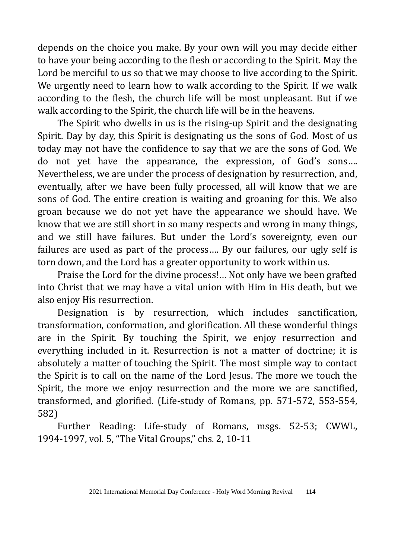depends on the choice you make. By your own will you may decide either to have your being according to the flesh or according to the Spirit. May the Lord be merciful to us so that we may choose to live according to the Spirit. We urgently need to learn how to walk according to the Spirit. If we walk according to the flesh, the church life will be most unpleasant. But if we walk according to the Spirit, the church life will be in the heavens.

The Spirit who dwells in us is the rising-up Spirit and the designating Spirit. Day by day, this Spirit is designating us the sons of God. Most of us today may not have the confidence to say that we are the sons of God. We do not yet have the appearance, the expression, of God's sons…. Nevertheless, we are under the process of designation by resurrection, and, eventually, after we have been fully processed, all will know that we are sons of God. The entire creation is waiting and groaning for this. We also groan because we do not yet have the appearance we should have. We know that we are still short in so many respects and wrong in many things, and we still have failures. But under the Lord's sovereignty, even our failures are used as part of the process…. By our failures, our ugly self is torn down, and the Lord has a greater opportunity to work within us.

Praise the Lord for the divine process!… Not only have we been grafted into Christ that we may have a vital union with Him in His death, but we also enjoy His resurrection.

Designation is by resurrection, which includes sanctification, transformation, conformation, and glorification. All these wonderful things are in the Spirit. By touching the Spirit, we enjoy resurrection and everything included in it. Resurrection is not a matter of doctrine; it is absolutely a matter of touching the Spirit. The most simple way to contact the Spirit is to call on the name of the Lord Jesus. The more we touch the Spirit, the more we enjoy resurrection and the more we are sanctified, transformed, and glorified. (Life-study of Romans, pp. 571-572, 553-554, 582)

Further Reading: Life-study of Romans, msgs. 52-53; CWWL, 1994-1997, vol. 5, "The Vital Groups," chs. 2, 10-11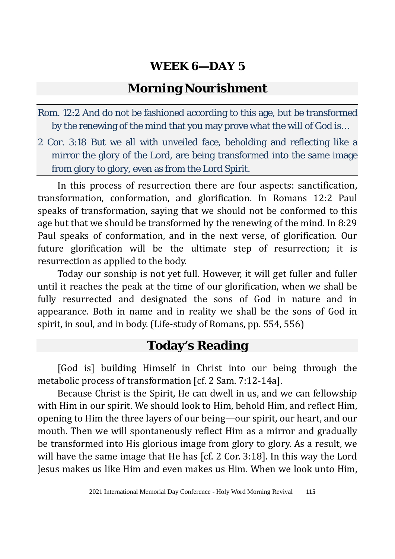## **Morning Nourishment**

- Rom. 12:2 And do not be fashioned according to this age, but be transformed by the renewing of the mind that you may prove what the will of God is…
- 2 Cor. 3:18 But we all with unveiled face, beholding and reflecting like a mirror the glory of the Lord, are being transformed into the same image from glory to glory, even as from the Lord Spirit.

In this process of resurrection there are four aspects: sanctification, transformation, conformation, and glorification. In Romans 12:2 Paul speaks of transformation, saying that we should not be conformed to this age but that we should be transformed by the renewing of the mind. In 8:29 Paul speaks of conformation, and in the next verse, of glorification. Our future glorification will be the ultimate step of resurrection; it is resurrection as applied to the body.

Today our sonship is not yet full. However, it will get fuller and fuller until it reaches the peak at the time of our glorification, when we shall be fully resurrected and designated the sons of God in nature and in appearance. Both in name and in reality we shall be the sons of God in spirit, in soul, and in body. (Life-study of Romans, pp. 554, 556)

## **Today's Reading**

[God is] building Himself in Christ into our being through the metabolic process of transformation [cf. 2 Sam. 7:12-14a].

Because Christ is the Spirit, He can dwell in us, and we can fellowship with Him in our spirit. We should look to Him, behold Him, and reflect Him, opening to Him the three layers of our being—our spirit, our heart, and our mouth. Then we will spontaneously reflect Him as a mirror and gradually be transformed into His glorious image from glory to glory. As a result, we will have the same image that He has [cf. 2 Cor. 3:18]. In this way the Lord Jesus makes us like Him and even makes us Him. When we look unto Him,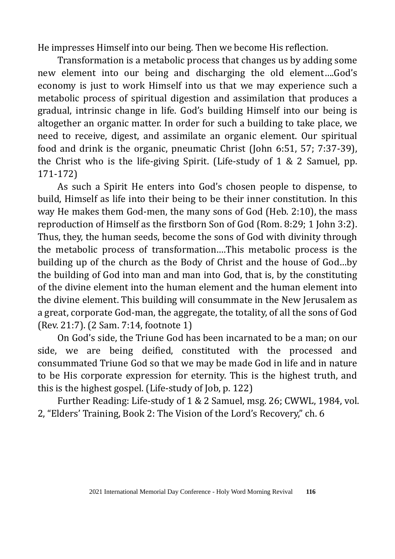He impresses Himself into our being. Then we become His reflection.

Transformation is a metabolic process that changes us by adding some new element into our being and discharging the old element….God's economy is just to work Himself into us that we may experience such a metabolic process of spiritual digestion and assimilation that produces a gradual, intrinsic change in life. God's building Himself into our being is altogether an organic matter. In order for such a building to take place, we need to receive, digest, and assimilate an organic element. Our spiritual food and drink is the organic, pneumatic Christ (John 6:51, 57; 7:37-39), the Christ who is the life-giving Spirit. (Life-study of 1 & 2 Samuel, pp. 171-172)

As such a Spirit He enters into God's chosen people to dispense, to build, Himself as life into their being to be their inner constitution. In this way He makes them God-men, the many sons of God (Heb. 2:10), the mass reproduction of Himself as the firstborn Son of God (Rom. 8:29; 1 John 3:2). Thus, they, the human seeds, become the sons of God with divinity through the metabolic process of transformation….This metabolic process is the building up of the church as the Body of Christ and the house of God…by the building of God into man and man into God, that is, by the constituting of the divine element into the human element and the human element into the divine element. This building will consummate in the New Jerusalem as a great, corporate God-man, the aggregate, the totality, of all the sons of God (Rev. 21:7). (2 Sam. 7:14, footnote 1)

On God's side, the Triune God has been incarnated to be a man; on our side, we are being deified, constituted with the processed and consummated Triune God so that we may be made God in life and in nature to be His corporate expression for eternity. This is the highest truth, and this is the highest gospel. (Life-study of Job, p. 122)

Further Reading: Life-study of 1 & 2 Samuel, msg. 26; CWWL, 1984, vol. 2, "Elders' Training, Book 2: The Vision of the Lord's Recovery," ch. 6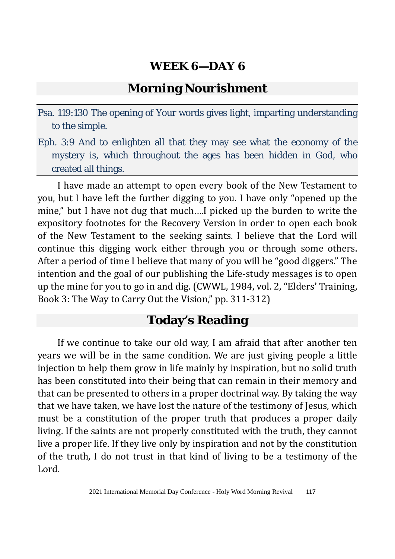## **Morning Nourishment**

- Psa. 119:130 The opening of Your words gives light, imparting understanding to the simple.
- Eph. 3:9 And to enlighten all that they may see what the economy of the mystery is, which throughout the ages has been hidden in God, who created all things.

I have made an attempt to open every book of the New Testament to you, but I have left the further digging to you. I have only "opened up the mine," but I have not dug that much….I picked up the burden to write the expository footnotes for the Recovery Version in order to open each book of the New Testament to the seeking saints. I believe that the Lord will continue this digging work either through you or through some others. After a period of time I believe that many of you will be "good diggers." The intention and the goal of our publishing the Life-study messages is to open up the mine for you to go in and dig. (CWWL, 1984, vol. 2, "Elders' Training, Book 3: The Way to Carry Out the Vision," pp. 311-312)

# **Today's Reading**

If we continue to take our old way, I am afraid that after another ten years we will be in the same condition. We are just giving people a little injection to help them grow in life mainly by inspiration, but no solid truth has been constituted into their being that can remain in their memory and that can be presented to others in a proper doctrinal way. By taking the way that we have taken, we have lost the nature of the testimony of Jesus, which must be a constitution of the proper truth that produces a proper daily living. If the saints are not properly constituted with the truth, they cannot live a proper life. If they live only by inspiration and not by the constitution of the truth, I do not trust in that kind of living to be a testimony of the Lord.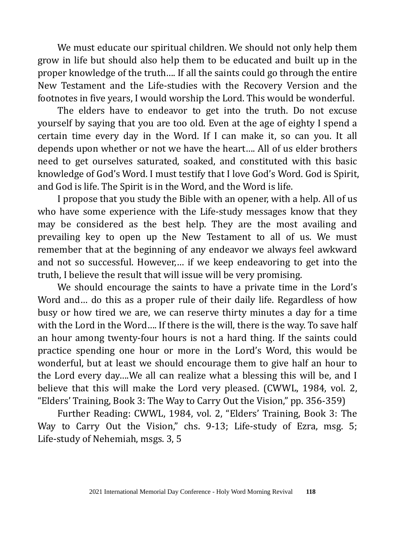We must educate our spiritual children. We should not only help them grow in life but should also help them to be educated and built up in the proper knowledge of the truth…. If all the saints could go through the entire New Testament and the Life-studies with the Recovery Version and the footnotes in five years, I would worship the Lord. This would be wonderful.

The elders have to endeavor to get into the truth. Do not excuse yourself by saying that you are too old. Even at the age of eighty I spend a certain time every day in the Word. If I can make it, so can you. It all depends upon whether or not we have the heart…. All of us elder brothers need to get ourselves saturated, soaked, and constituted with this basic knowledge of God's Word. I must testify that I love God's Word. God is Spirit, and God is life. The Spirit is in the Word, and the Word is life.

I propose that you study the Bible with an opener, with a help. All of us who have some experience with the Life-study messages know that they may be considered as the best help. They are the most availing and prevailing key to open up the New Testament to all of us. We must remember that at the beginning of any endeavor we always feel awkward and not so successful. However,… if we keep endeavoring to get into the truth, I believe the result that will issue will be very promising.

We should encourage the saints to have a private time in the Lord's Word and… do this as a proper rule of their daily life. Regardless of how busy or how tired we are, we can reserve thirty minutes a day for a time with the Lord in the Word…. If there is the will, there is the way. To save half an hour among twenty-four hours is not a hard thing. If the saints could practice spending one hour or more in the Lord's Word, this would be wonderful, but at least we should encourage them to give half an hour to the Lord every day….We all can realize what a blessing this will be, and I believe that this will make the Lord very pleased. (CWWL, 1984, vol. 2, "Elders' Training, Book 3: The Way to Carry Out the Vision," pp. 356-359)

Further Reading: CWWL, 1984, vol. 2, "Elders' Training, Book 3: The Way to Carry Out the Vision," chs. 9-13; Life-study of Ezra, msg. 5; Life-study of Nehemiah, msgs. 3, 5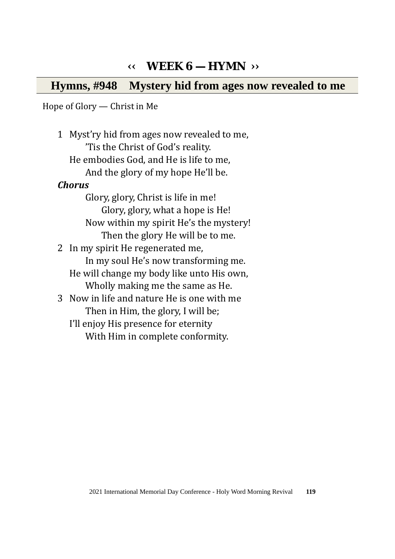# **‹‹ WEEK 6 — HYMN ››**

**Hymns, #948 Mystery hid from ages now revealed to me** 

Hope of Glory — Christ in Me

1 Myst'ry hid from ages now revealed to me, 'Tis the Christ of God's reality. He embodies God, and He is life to me, And the glory of my hope He'll be. *Chorus*  Glory, glory, Christ is life in me! Glory, glory, what a hope is He! Now within my spirit He's the mystery! Then the glory He will be to me. 2 In my spirit He regenerated me, In my soul He's now transforming me. He will change my body like unto His own, Wholly making me the same as He. 3 Now in life and nature He is one with me Then in Him, the glory, I will be; I'll enjoy His presence for eternity With Him in complete conformity.